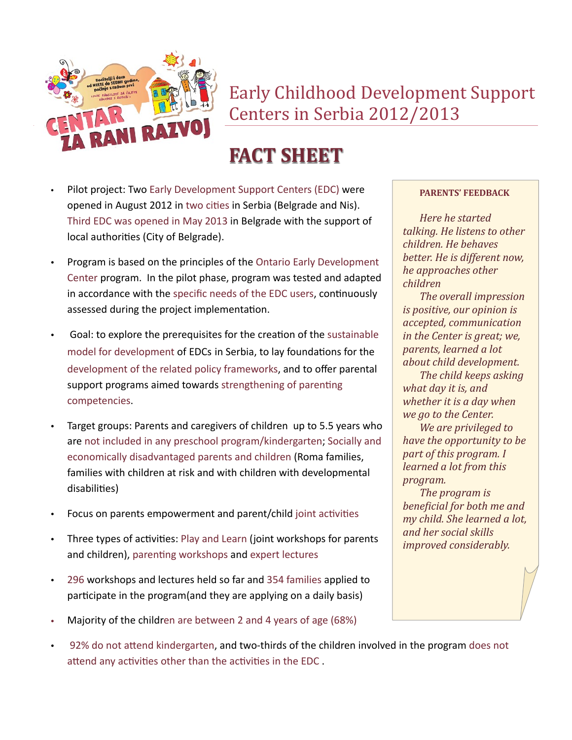

Early Childhood Development Support Centers in Serbia 2012/2013

# **FACT SHEET**

- Pilot project: Two Early Development Support Centers (EDC) were opened in August 2012 in two cities in Serbia (Belgrade and Nis). Third EDC was opened in May 2013 in Belgrade with the support of local authorities (City of Belgrade).
- Program is based on the principles of the Ontario Early Development Center program. In the pilot phase, program was tested and adapted in accordance with the specific needs of the EDC users, continuously assessed during the project implementation.
- Goal: to explore the prerequisites for the creation of the sustainable model for development of EDCs in Serbia, to lay foundations for the development of the related policy frameworks, and to offer parental support programs aimed towards strengthening of parenting competencies.
- Target groups: Parents and caregivers of children up to 5.5 years who are not included in any preschool program/kindergarten; Socially and economically disadvantaged parents and children (Roma families, families with children at risk and with children with developmental disabilities)
- Focus on parents empowerment and parent/child joint activities
- Three types of activities: Play and Learn (joint workshops for parents and children), parenting workshops and expert lectures
- 296 workshops and lectures held so far and 354 families applied to participate in the program(and they are applying on a daily basis)
- Majority of the children are between 2 and 4 years of age (68%)
- 92% do not attend kindergarten, and two-thirds of the children involved in the program does not attend any activities other than the activities in the EDC .

#### **PARENTS' FEEDBACK**

*Here he started talking.* He listens to other *children. He behaves better.* He is different now, *he approaches other children*

*The overall impression is positive, our opinion is accepted, communication in the Center is great; we, parents, learned a lot about child development.*

**The child keeps asking** what *day* it is, and *whether it is a day when we go to the Center.*

*We are privileged to have the opportunity to be part of this program.* I *learned a lot from this program.*

The *program* is *beneficial for both me and my child.* She learned a lot, *and her social skills improved considerably.*